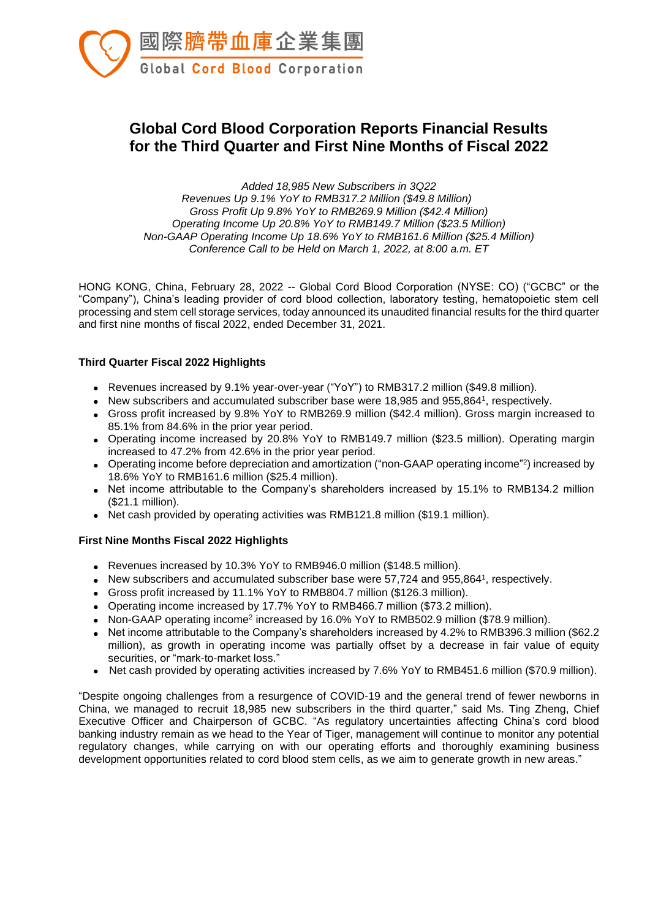

# **Global Cord Blood Corporation Reports Financial Results for the Third Quarter and First Nine Months of Fiscal 2022**

*Added 18,985 New Subscribers in 3Q22 Revenues Up 9.1% YoY to RMB317.2 Million (\$49.8 Million) Gross Profit Up 9.8% YoY to RMB269.9 Million (\$42.4 Million) Operating Income Up 20.8% YoY to RMB149.7 Million (\$23.5 Million) Non-GAAP Operating Income Up 18.6% YoY to RMB161.6 Million (\$25.4 Million) Conference Call to be Held on March 1, 2022, at 8:00 a.m. ET*

HONG KONG, China, February 28, 2022 -- Global Cord Blood Corporation (NYSE: CO) ("GCBC" or the "Company"), China's leading provider of cord blood collection, laboratory testing, hematopoietic stem cell processing and stem cell storage services, today announced its unaudited financial results for the third quarter and first nine months of fiscal 2022, ended December 31, 2021.

## **Third Quarter Fiscal 2022 Highlights**

- Revenues increased by 9.1% year-over-year ("YoY") to RMB317.2 million (\$49.8 million).
- New subscribers and accumulated subscriber base were 18,985 and 955,864<sup>1</sup> , respectively.
- Gross profit increased by 9.8% YoY to RMB269.9 million (\$42.4 million). Gross margin increased to 85.1% from 84.6% in the prior year period.
- Operating income increased by 20.8% YoY to RMB149.7 million (\$23.5 million). Operating margin increased to 47.2% from 42.6% in the prior year period.
- Operating income before depreciation and amortization ("non-GAAP operating income" 2 ) increased by 18.6% YoY to RMB161.6 million (\$25.4 million).
- Net income attributable to the Company's shareholders increased by 15.1% to RMB134.2 million (\$21.1 million).
- Net cash provided by operating activities was RMB121.8 million (\$19.1 million).

## **First Nine Months Fiscal 2022 Highlights**

- Revenues increased by 10.3% YoY to RMB946.0 million (\$148.5 million).
- New subscribers and accumulated subscriber base were 57,724 and 955,864<sup>1</sup> , respectively.
- Gross profit increased by 11.1% YoY to RMB804.7 million (\$126.3 million).
- Operating income increased by 17.7% YoY to RMB466.7 million (\$73.2 million).
- Non-GAAP operating income<sup>2</sup> increased by 16.0% YoY to RMB502.9 million (\$78.9 million).
- Net income attributable to the Company's shareholders increased by 4.2% to RMB396.3 million (\$62.2 million), as growth in operating income was partially offset by a decrease in fair value of equity securities, or "mark-to-market loss."
- Net cash provided by operating activities increased by 7.6% YoY to RMB451.6 million (\$70.9 million).

"Despite ongoing challenges from a resurgence of COVID-19 and the general trend of fewer newborns in China, we managed to recruit 18,985 new subscribers in the third quarter," said Ms. Ting Zheng, Chief Executive Officer and Chairperson of GCBC. "As regulatory uncertainties affecting China's cord blood banking industry remain as we head to the Year of Tiger, management will continue to monitor any potential regulatory changes, while carrying on with our operating efforts and thoroughly examining business development opportunities related to cord blood stem cells, as we aim to generate growth in new areas."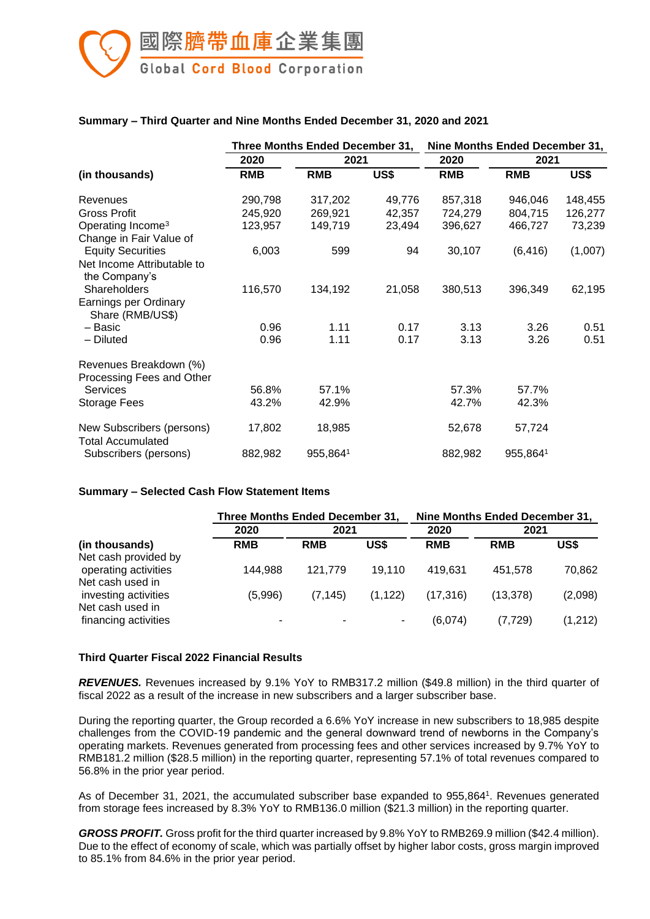

## **Summary – Third Quarter and Nine Months Ended December 31, 2020 and 2021**

|                                                       | Three Months Ended December 31, |            |        | Nine Months Ended December 31, |            |         |
|-------------------------------------------------------|---------------------------------|------------|--------|--------------------------------|------------|---------|
|                                                       | 2020<br>2021                    |            |        | 2020                           | 2021       |         |
| (in thousands)                                        | <b>RMB</b>                      | <b>RMB</b> | US\$   | <b>RMB</b>                     | <b>RMB</b> | US\$    |
| Revenues                                              | 290,798                         | 317,202    | 49,776 | 857,318                        | 946,046    | 148,455 |
| <b>Gross Profit</b>                                   | 245,920                         | 269,921    | 42,357 | 724,279                        | 804,715    | 126,277 |
| Operating Income <sup>3</sup>                         | 123,957                         | 149,719    | 23,494 | 396,627                        | 466,727    | 73,239  |
| Change in Fair Value of                               |                                 |            |        |                                |            |         |
| <b>Equity Securities</b>                              | 6,003                           | 599        | 94     | 30,107                         | (6, 416)   | (1,007) |
| Net Income Attributable to<br>the Company's           |                                 |            |        |                                |            |         |
| Shareholders                                          | 116,570                         | 134,192    | 21,058 | 380,513                        | 396,349    | 62,195  |
| Earnings per Ordinary<br>Share (RMB/US\$)             |                                 |            |        |                                |            |         |
| – Basic                                               | 0.96                            | 1.11       | 0.17   | 3.13                           | 3.26       | 0.51    |
| - Diluted                                             | 0.96                            | 1.11       | 0.17   | 3.13                           | 3.26       | 0.51    |
| Revenues Breakdown (%)<br>Processing Fees and Other   |                                 |            |        |                                |            |         |
| <b>Services</b>                                       | 56.8%                           | 57.1%      |        | 57.3%                          | 57.7%      |         |
| <b>Storage Fees</b>                                   | 43.2%                           | 42.9%      |        | 42.7%                          | 42.3%      |         |
| New Subscribers (persons)<br><b>Total Accumulated</b> | 17,802                          | 18,985     |        | 52,678                         | 57,724     |         |
| Subscribers (persons)                                 | 882,982                         | 955,8641   |        | 882,982                        | 955,8641   |         |

## **Summary – Selected Cash Flow Statement Items**

|                                              |            | Three Months Ended December 31, |          |            | Nine Months Ended December 31, |         |  |  |
|----------------------------------------------|------------|---------------------------------|----------|------------|--------------------------------|---------|--|--|
|                                              | 2020       | 2021                            |          | 2020       | 2021                           |         |  |  |
| (in thousands)                               | <b>RMB</b> | <b>RMB</b>                      | US\$     | <b>RMB</b> | <b>RMB</b>                     | US\$    |  |  |
| Net cash provided by<br>operating activities | 144,988    | 121.779                         | 19.110   | 419,631    | 451.578                        | 70,862  |  |  |
| Net cash used in<br>investing activities     | (5,996)    | (7.145)                         | (1, 122) | (17, 316)  | (13, 378)                      | (2,098) |  |  |
| Net cash used in<br>financing activities     | -          |                                 | -        | (6,074)    | (7.729)                        | (1,212) |  |  |

### **Third Quarter Fiscal 2022 Financial Results**

*REVENUES.* Revenues increased by 9.1% YoY to RMB317.2 million (\$49.8 million) in the third quarter of fiscal 2022 as a result of the increase in new subscribers and a larger subscriber base.

During the reporting quarter, the Group recorded a 6.6% YoY increase in new subscribers to 18,985 despite challenges from the COVID-19 pandemic and the general downward trend of newborns in the Company's operating markets. Revenues generated from processing fees and other services increased by 9.7% YoY to RMB181.2 million (\$28.5 million) in the reporting quarter, representing 57.1% of total revenues compared to 56.8% in the prior year period.

As of December 31, 2021, the accumulated subscriber base expanded to 955,864<sup>1</sup> . Revenues generated from storage fees increased by 8.3% YoY to RMB136.0 million (\$21.3 million) in the reporting quarter.

*GROSS PROFIT.* Gross profit for the third quarter increased by 9.8% YoY to RMB269.9 million (\$42.4 million). Due to the effect of economy of scale, which was partially offset by higher labor costs, gross margin improved to 85.1% from 84.6% in the prior year period.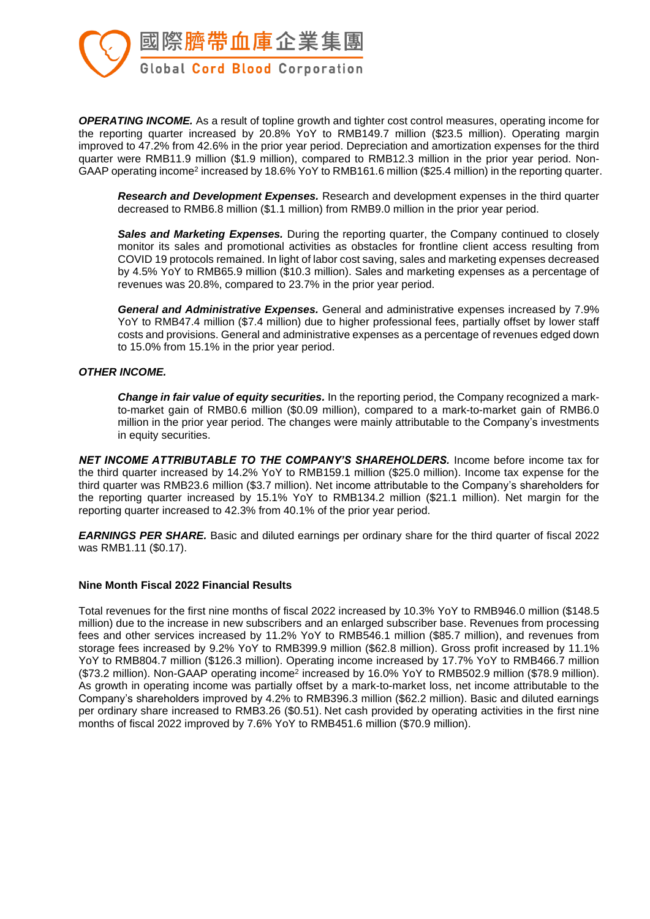

*OPERATING INCOME.* As a result of topline growth and tighter cost control measures, operating income for the reporting quarter increased by 20.8% YoY to RMB149.7 million (\$23.5 million). Operating margin improved to 47.2% from 42.6% in the prior year period. Depreciation and amortization expenses for the third quarter were RMB11.9 million (\$1.9 million), compared to RMB12.3 million in the prior year period. Non-GAAP operating income<sup>2</sup> increased by 18.6% YoY to RMB161.6 million (\$25.4 million) in the reporting quarter.

*Research and Development Expenses.* Research and development expenses in the third quarter decreased to RMB6.8 million (\$1.1 million) from RMB9.0 million in the prior year period.

**Sales and Marketing Expenses.** During the reporting quarter, the Company continued to closely monitor its sales and promotional activities as obstacles for frontline client access resulting from COVID 19 protocols remained. In light of labor cost saving, sales and marketing expenses decreased by 4.5% YoY to RMB65.9 million (\$10.3 million). Sales and marketing expenses as a percentage of revenues was 20.8%, compared to 23.7% in the prior year period.

*General and Administrative Expenses.* General and administrative expenses increased by 7.9% YoY to RMB47.4 million (\$7.4 million) due to higher professional fees, partially offset by lower staff costs and provisions. General and administrative expenses as a percentage of revenues edged down to 15.0% from 15.1% in the prior year period.

### *OTHER INCOME.*

*Change in fair value of equity securities.* In the reporting period, the Company recognized a markto-market gain of RMB0.6 million (\$0.09 million), compared to a mark-to-market gain of RMB6.0 million in the prior year period. The changes were mainly attributable to the Company's investments in equity securities.

*NET INCOME ATTRIBUTABLE TO THE COMPANY'S SHAREHOLDERS.* Income before income tax for the third quarter increased by 14.2% YoY to RMB159.1 million (\$25.0 million). Income tax expense for the third quarter was RMB23.6 million (\$3.7 million). Net income attributable to the Company's shareholders for the reporting quarter increased by 15.1% YoY to RMB134.2 million (\$21.1 million). Net margin for the reporting quarter increased to 42.3% from 40.1% of the prior year period.

*EARNINGS PER SHARE.* Basic and diluted earnings per ordinary share for the third quarter of fiscal 2022 was RMB1.11 (\$0.17).

#### **Nine Month Fiscal 2022 Financial Results**

Total revenues for the first nine months of fiscal 2022 increased by 10.3% YoY to RMB946.0 million (\$148.5 million) due to the increase in new subscribers and an enlarged subscriber base. Revenues from processing fees and other services increased by 11.2% YoY to RMB546.1 million (\$85.7 million), and revenues from storage fees increased by 9.2% YoY to RMB399.9 million (\$62.8 million). Gross profit increased by 11.1% YoY to RMB804.7 million (\$126.3 million). Operating income increased by 17.7% YoY to RMB466.7 million (\$73.2 million). Non-GAAP operating income<sup>2</sup> increased by 16.0% YoY to RMB502.9 million (\$78.9 million). As growth in operating income was partially offset by a mark-to-market loss, net income attributable to the Company's shareholders improved by 4.2% to RMB396.3 million (\$62.2 million). Basic and diluted earnings per ordinary share increased to RMB3.26 (\$0.51). Net cash provided by operating activities in the first nine months of fiscal 2022 improved by 7.6% YoY to RMB451.6 million (\$70.9 million).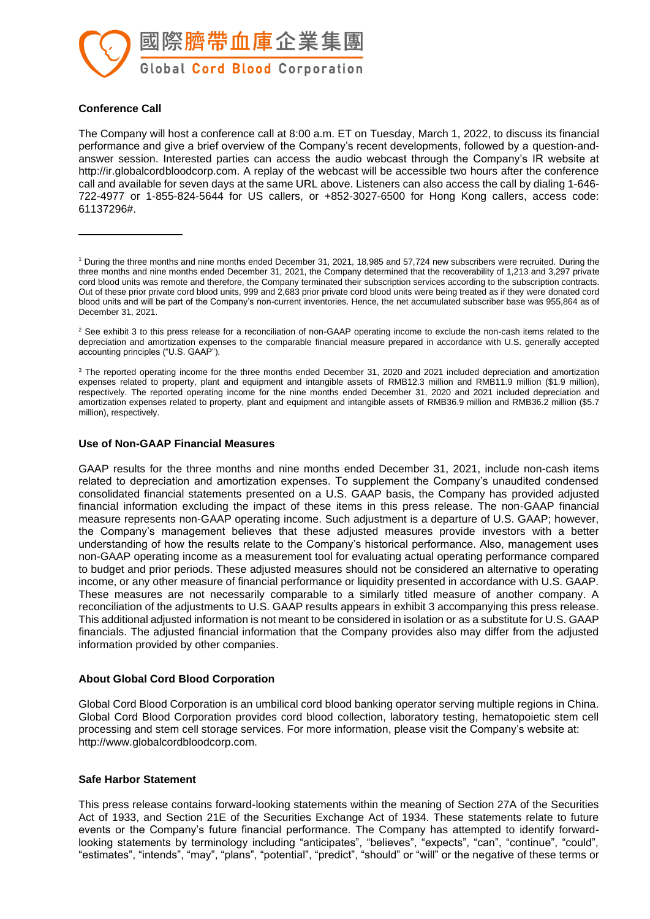

# **Conference Call**

The Company will host a conference call at 8:00 a.m. ET on Tuesday, March 1, 2022, to discuss its financial performance and give a brief overview of the Company's recent developments, followed by a question-andanswer session. Interested parties can access the audio webcast through the Company's IR website at http://ir.globalcordbloodcorp.com. A replay of the webcast will be accessible two hours after the conference call and available for seven days at the same URL above. Listeners can also access the call by dialing 1-646- 722-4977 or 1-855-824-5644 for US callers, or +852-3027-6500 for Hong Kong callers, access code: 61137296#.

### **Use of Non-GAAP Financial Measures**

GAAP results for the three months and nine months ended December 31, 2021, include non-cash items related to depreciation and amortization expenses. To supplement the Company's unaudited condensed consolidated financial statements presented on a U.S. GAAP basis, the Company has provided adjusted financial information excluding the impact of these items in this press release. The non-GAAP financial measure represents non-GAAP operating income. Such adjustment is a departure of U.S. GAAP; however, the Company's management believes that these adjusted measures provide investors with a better understanding of how the results relate to the Company's historical performance. Also, management uses non-GAAP operating income as a measurement tool for evaluating actual operating performance compared to budget and prior periods. These adjusted measures should not be considered an alternative to operating income, or any other measure of financial performance or liquidity presented in accordance with U.S. GAAP. These measures are not necessarily comparable to a similarly titled measure of another company. A reconciliation of the adjustments to U.S. GAAP results appears in exhibit 3 accompanying this press release. This additional adjusted information is not meant to be considered in isolation or as a substitute for U.S. GAAP financials. The adjusted financial information that the Company provides also may differ from the adjusted information provided by other companies.

#### **About Global Cord Blood Corporation**

Global Cord Blood Corporation is an umbilical cord blood banking operator serving multiple regions in China. Global Cord Blood Corporation provides cord blood collection, laboratory testing, hematopoietic stem cell processing and stem cell storage services. For more information, please visit the Company's website at: http://www.globalcordbloodcorp.com.

#### **Safe Harbor Statement**

This press release contains forward-looking statements within the meaning of Section 27A of the Securities Act of 1933, and Section 21E of the Securities Exchange Act of 1934. These statements relate to future events or the Company's future financial performance. The Company has attempted to identify forwardlooking statements by terminology including "anticipates", "believes", "expects", "can", "continue", "could", "estimates", "intends", "may", "plans", "potential", "predict", "should" or "will" or the negative of these terms or

<sup>1</sup> During the three months and nine months ended December 31, 2021, 18,985 and 57,724 new subscribers were recruited. During the three months and nine months ended December 31, 2021, the Company determined that the recoverability of 1,213 and 3,297 private cord blood units was remote and therefore, the Company terminated their subscription services according to the subscription contracts. Out of these prior private cord blood units, 999 and 2,683 prior private cord blood units were being treated as if they were donated cord blood units and will be part of the Company's non-current inventories. Hence, the net accumulated subscriber base was 955,864 as of December 31, 2021.

<sup>&</sup>lt;sup>2</sup> See exhibit 3 to this press release for a reconciliation of non-GAAP operating income to exclude the non-cash items related to the depreciation and amortization expenses to the comparable financial measure prepared in accordance with U.S. generally accepted accounting principles ("U.S. GAAP").

<sup>&</sup>lt;sup>3</sup> The reported operating income for the three months ended December 31, 2020 and 2021 included depreciation and amortization expenses related to property, plant and equipment and intangible assets of RMB12.3 million and RMB11.9 million (\$1.9 million), respectively. The reported operating income for the nine months ended December 31, 2020 and 2021 included depreciation and amortization expenses related to property, plant and equipment and intangible assets of RMB36.9 million and RMB36.2 million (\$5.7 million), respectively.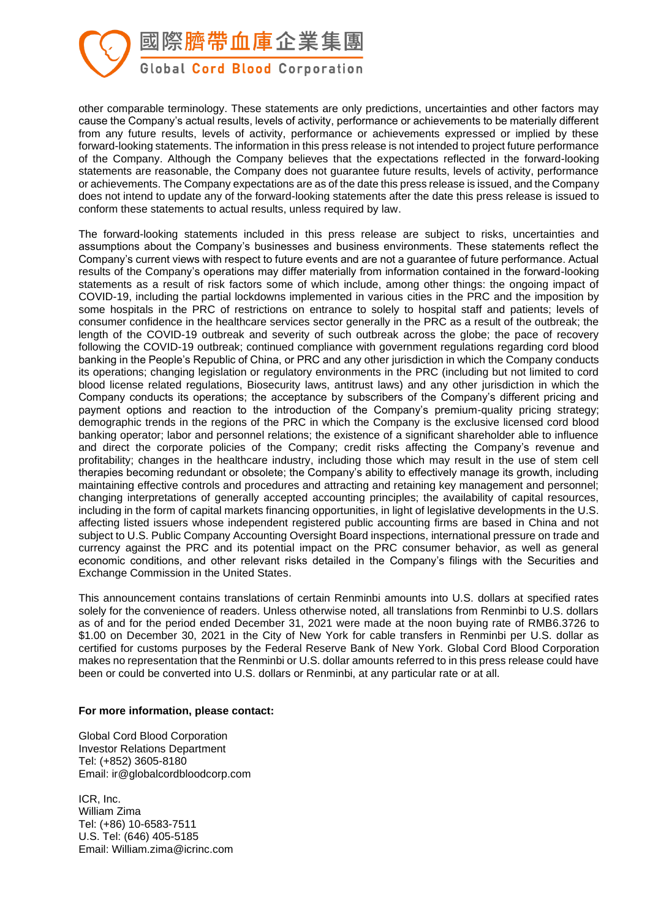

other comparable terminology. These statements are only predictions, uncertainties and other factors may cause the Company's actual results, levels of activity, performance or achievements to be materially different from any future results, levels of activity, performance or achievements expressed or implied by these forward-looking statements. The information in this press release is not intended to project future performance of the Company. Although the Company believes that the expectations reflected in the forward-looking statements are reasonable, the Company does not guarantee future results, levels of activity, performance or achievements. The Company expectations are as of the date this press release is issued, and the Company does not intend to update any of the forward-looking statements after the date this press release is issued to conform these statements to actual results, unless required by law.

The forward-looking statements included in this press release are subject to risks, uncertainties and assumptions about the Company's businesses and business environments. These statements reflect the Company's current views with respect to future events and are not a guarantee of future performance. Actual results of the Company's operations may differ materially from information contained in the forward-looking statements as a result of risk factors some of which include, among other things: the ongoing impact of COVID-19, including the partial lockdowns implemented in various cities in the PRC and the imposition by some hospitals in the PRC of restrictions on entrance to solely to hospital staff and patients; levels of consumer confidence in the healthcare services sector generally in the PRC as a result of the outbreak; the length of the COVID-19 outbreak and severity of such outbreak across the globe; the pace of recovery following the COVID-19 outbreak; continued compliance with government regulations regarding cord blood banking in the People's Republic of China, or PRC and any other jurisdiction in which the Company conducts its operations; changing legislation or regulatory environments in the PRC (including but not limited to cord blood license related regulations, Biosecurity laws, antitrust laws) and any other jurisdiction in which the Company conducts its operations; the acceptance by subscribers of the Company's different pricing and payment options and reaction to the introduction of the Company's premium-quality pricing strategy; demographic trends in the regions of the PRC in which the Company is the exclusive licensed cord blood banking operator; labor and personnel relations; the existence of a significant shareholder able to influence and direct the corporate policies of the Company; credit risks affecting the Company's revenue and profitability; changes in the healthcare industry, including those which may result in the use of stem cell therapies becoming redundant or obsolete; the Company's ability to effectively manage its growth, including maintaining effective controls and procedures and attracting and retaining key management and personnel; changing interpretations of generally accepted accounting principles; the availability of capital resources, including in the form of capital markets financing opportunities, in light of legislative developments in the U.S. affecting listed issuers whose independent registered public accounting firms are based in China and not subject to U.S. Public Company Accounting Oversight Board inspections, international pressure on trade and currency against the PRC and its potential impact on the PRC consumer behavior, as well as general economic conditions, and other relevant risks detailed in the Company's filings with the Securities and Exchange Commission in the United States.

This announcement contains translations of certain Renminbi amounts into U.S. dollars at specified rates solely for the convenience of readers. Unless otherwise noted, all translations from Renminbi to U.S. dollars as of and for the period ended December 31, 2021 were made at the noon buying rate of RMB6.3726 to \$1.00 on December 30, 2021 in the City of New York for cable transfers in Renminbi per U.S. dollar as certified for customs purposes by the Federal Reserve Bank of New York. Global Cord Blood Corporation makes no representation that the Renminbi or U.S. dollar amounts referred to in this press release could have been or could be converted into U.S. dollars or Renminbi, at any particular rate or at all.

#### **For more information, please contact:**

Global Cord Blood Corporation Investor Relations Department Tel: (+852) 3605-8180 Email: ir@globalcordbloodcorp.com

ICR, Inc. William Zima Tel: (+86) 10-6583-7511 U.S. Tel: (646) 405-5185 Email: William.zima@icrinc.com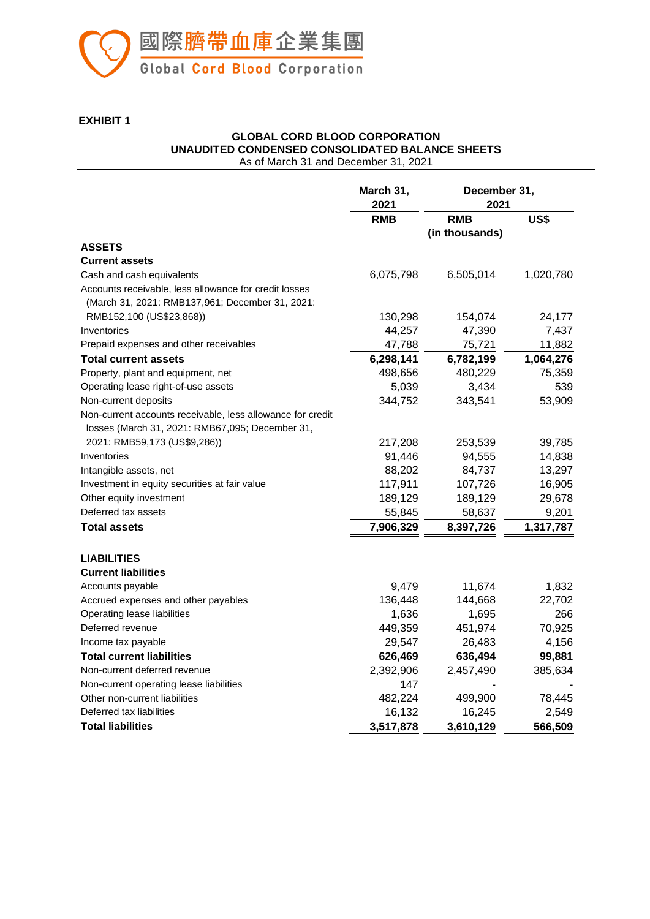

**EXHIBIT 1**

#### **GLOBAL CORD BLOOD CORPORATION UNAUDITED CONDENSED CONSOLIDATED BALANCE SHEETS** As of March 31 and December 31, 2021

|                                                            | March 31,<br>2021 | December 31,<br>2021 |           |  |
|------------------------------------------------------------|-------------------|----------------------|-----------|--|
|                                                            | <b>RMB</b>        | <b>RMB</b>           | US\$      |  |
|                                                            |                   | (in thousands)       |           |  |
| <b>ASSETS</b>                                              |                   |                      |           |  |
| <b>Current assets</b>                                      |                   |                      |           |  |
| Cash and cash equivalents                                  | 6,075,798         | 6,505,014            | 1,020,780 |  |
| Accounts receivable, less allowance for credit losses      |                   |                      |           |  |
| (March 31, 2021: RMB137,961; December 31, 2021:            |                   |                      |           |  |
| RMB152,100 (US\$23,868))                                   | 130,298           | 154,074              | 24,177    |  |
| Inventories                                                | 44,257            | 47,390               | 7,437     |  |
| Prepaid expenses and other receivables                     | 47,788            | 75,721               | 11,882    |  |
| <b>Total current assets</b>                                | 6,298,141         | 6,782,199            | 1,064,276 |  |
| Property, plant and equipment, net                         | 498,656           | 480,229              | 75,359    |  |
| Operating lease right-of-use assets                        | 5,039             | 3,434                | 539       |  |
| Non-current deposits                                       | 344,752           | 343,541              | 53,909    |  |
| Non-current accounts receivable, less allowance for credit |                   |                      |           |  |
| losses (March 31, 2021: RMB67,095; December 31,            |                   |                      |           |  |
| 2021: RMB59,173 (US\$9,286))                               | 217,208           | 253,539              | 39,785    |  |
| Inventories                                                | 91,446            | 94,555               | 14,838    |  |
| Intangible assets, net                                     | 88,202            | 84,737               | 13,297    |  |
| Investment in equity securities at fair value              | 117,911           | 107,726              | 16,905    |  |
| Other equity investment                                    | 189,129           | 189,129              | 29,678    |  |
| Deferred tax assets                                        | 55,845            | 58,637               | 9,201     |  |
| <b>Total assets</b>                                        | 7,906,329         | 8,397,726            | 1,317,787 |  |
| <b>LIABILITIES</b>                                         |                   |                      |           |  |
| <b>Current liabilities</b>                                 |                   |                      |           |  |
| Accounts payable                                           | 9,479             | 11,674               | 1,832     |  |
| Accrued expenses and other payables                        | 136,448           | 144,668              | 22,702    |  |
| Operating lease liabilities                                | 1,636             | 1,695                | 266       |  |
| Deferred revenue                                           | 449,359           | 451,974              | 70,925    |  |
| Income tax payable                                         | 29,547            | 26,483               | 4,156     |  |
| <b>Total current liabilities</b>                           | 626,469           | 636,494              | 99,881    |  |
| Non-current deferred revenue                               | 2,392,906         | 2,457,490            | 385,634   |  |
| Non-current operating lease liabilities                    | 147               |                      |           |  |
| Other non-current liabilities                              | 482,224           | 499,900              | 78,445    |  |
| Deferred tax liabilities                                   | 16,132            | 16,245               | 2,549     |  |
| <b>Total liabilities</b>                                   | 3,517,878         | 3,610,129            | 566,509   |  |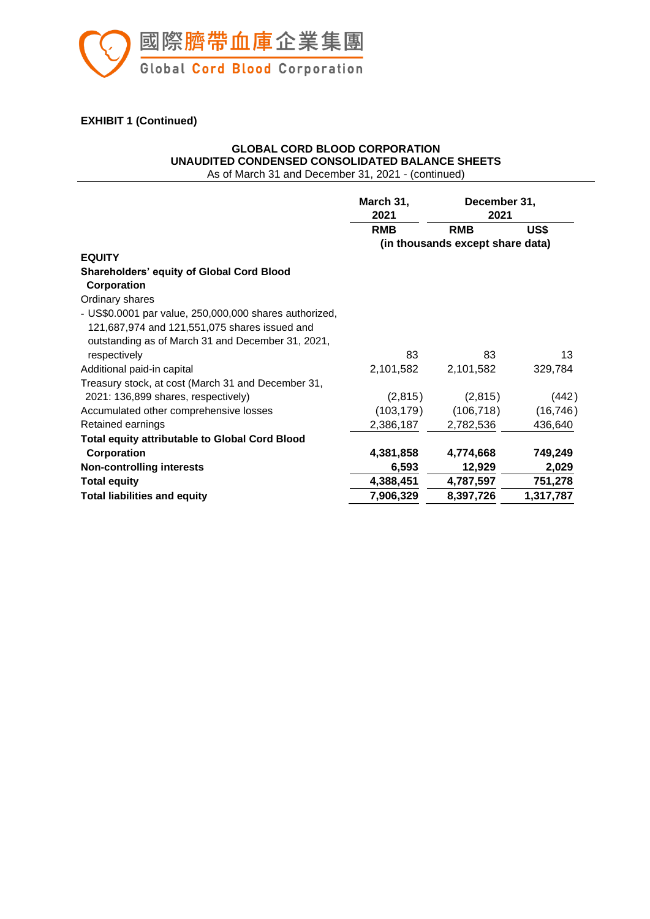

# **EXHIBIT 1 (Continued)**

# **GLOBAL CORD BLOOD CORPORATION UNAUDITED CONDENSED CONSOLIDATED BALANCE SHEETS**

As of March 31 and December 31, 2021 - (continued)

|                                                        | March 31,<br>2021 | December 31,<br>2021             |           |  |
|--------------------------------------------------------|-------------------|----------------------------------|-----------|--|
|                                                        | <b>RMB</b>        | <b>RMB</b>                       | US\$      |  |
|                                                        |                   | (in thousands except share data) |           |  |
| <b>EQUITY</b>                                          |                   |                                  |           |  |
| <b>Shareholders' equity of Global Cord Blood</b>       |                   |                                  |           |  |
| Corporation                                            |                   |                                  |           |  |
| Ordinary shares                                        |                   |                                  |           |  |
| - US\$0.0001 par value, 250,000,000 shares authorized, |                   |                                  |           |  |
| 121,687,974 and 121,551,075 shares issued and          |                   |                                  |           |  |
| outstanding as of March 31 and December 31, 2021,      |                   |                                  |           |  |
| respectively                                           | 83                | 83                               | 13        |  |
| Additional paid-in capital                             | 2,101,582         | 2,101,582                        | 329,784   |  |
| Treasury stock, at cost (March 31 and December 31,     |                   |                                  |           |  |
| 2021: 136,899 shares, respectively)                    | (2,815)           | (2,815)                          | (442)     |  |
| Accumulated other comprehensive losses                 | (103, 179)        | (106, 718)                       | (16, 746) |  |
| Retained earnings                                      | 2,386,187         | 2,782,536                        | 436,640   |  |
| Total equity attributable to Global Cord Blood         |                   |                                  |           |  |
| Corporation                                            | 4,381,858         | 4,774,668                        | 749,249   |  |
| <b>Non-controlling interests</b>                       | 6,593             | 12,929                           | 2,029     |  |
| <b>Total equity</b>                                    | 4,388,451         | 4,787,597                        | 751,278   |  |
| <b>Total liabilities and equity</b>                    | 7,906,329         | 8,397,726                        | 1,317,787 |  |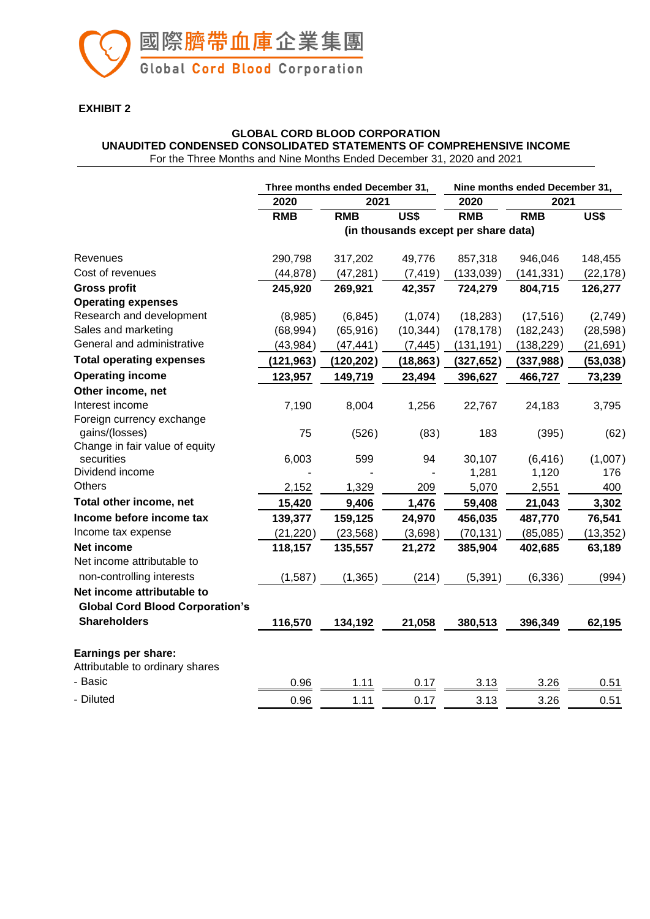

# **EXHIBIT 2**

#### **GLOBAL CORD BLOOD CORPORATION UNAUDITED CONDENSED CONSOLIDATED STATEMENTS OF COMPREHENSIVE INCOME** For the Three Months and Nine Months Ended December 31, 2020 and 2021

**Three months ended December 31, Nine months ended December 31, 2020 2021 2020 2021 RMB RMB US\$ RMB RMB US\$ (in thousands except per share data)** Revenues 290,798 317,202 49,776 857,318 946,046 148,455 Cost of revenues (44,878) (47,281) (7,419) (133,039) (141,331) (22,178) **Gross profit 245,920 269,921 42,357 724,279 804,715 126,277 Operating expenses** Research and development (8,985) (6,845) (1,074) (18,283) (17,516) (2,749) Sales and marketing (68,994) (65,916) (10,344) (178,178) (182,243) (28,598) General and administrative (43,984) (47,441) (7,445) (131,191) (138,229) (21,691) **Total operating expenses (121,963) (120,202) (18,863) (327,652) (337,988) (53,038) Operating income 123,957 149,719 23,494 396,627 466,727 73,239 Other income, net** Interest income 7,190 8,004 1,256 22,767 24,183 3,795 Foreign currency exchange gains/(losses) 75 (526) (83) 183 (395) (62) Change in fair value of equity securities 6,003 599 94 30,107 (6,416) (1,007) Dividend income  $\qquad \qquad -$  -  $\qquad \qquad \qquad \qquad -$  1,281 1,120 176 Others 2,152 1,329 209 5,070 2,551 400 **Total other income, net 15,420 9,406 1,476 59,408 21,043 3,302 Income before income tax 139,377 159,125 24,970 456,035 487,770 76,541** Income tax expense (21,220) (23,568) (3,698) (70,131) (85,085) (13,352) **Net income 118,157 135,557 21,272 385,904 402,685 63,189** Net income attributable to non-controlling interests (1,587) (1,365) (214) (5,391) (6,336) (994) **Net income attributable to Global Cord Blood Corporation's Shareholders 116,570 134,192 21,058 380,513 396,349 62,195 Earnings per share:** Attributable to ordinary shares - Basic 0.96 1.11 0.17 3.13 3.26 0.51 - Diluted 0.96 1.11 0.17 3.13 3.26 0.51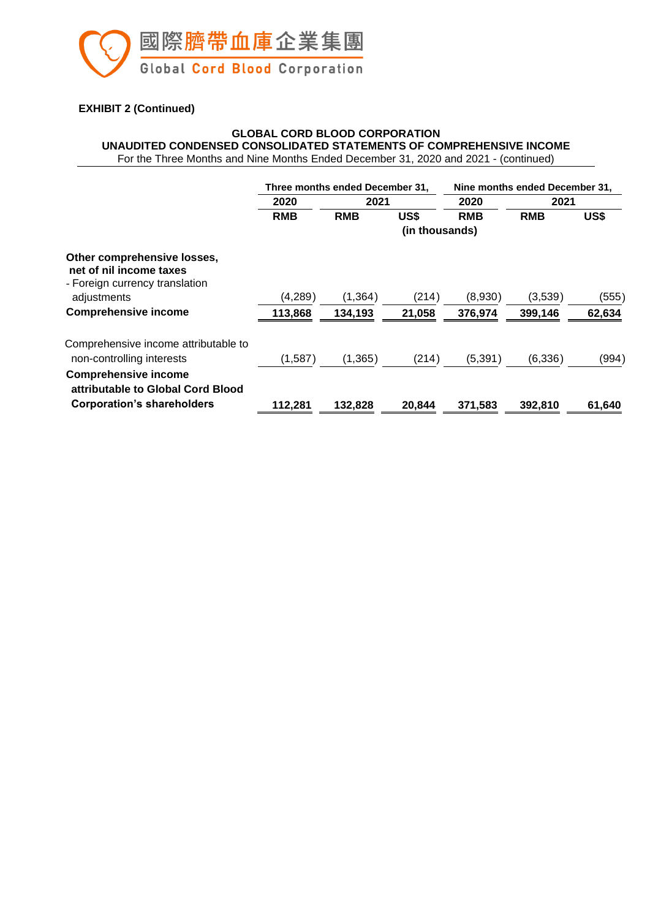

# **EXHIBIT 2 (Continued)**

# **GLOBAL CORD BLOOD CORPORATION**

# **UNAUDITED CONDENSED CONSOLIDATED STATEMENTS OF COMPREHENSIVE INCOME**

For the Three Months and Nine Months Ended December 31, 2020 and 2021 - (continued)

|                                                                                          | Three months ended December 31, |            |                        | Nine months ended December 31, |            |        |
|------------------------------------------------------------------------------------------|---------------------------------|------------|------------------------|--------------------------------|------------|--------|
|                                                                                          | 2020                            | 2021       |                        | 2020                           | 2021       |        |
|                                                                                          | <b>RMB</b>                      | <b>RMB</b> | US\$<br>(in thousands) | <b>RMB</b>                     | <b>RMB</b> | US\$   |
| Other comprehensive losses,<br>net of nil income taxes<br>- Foreign currency translation |                                 |            |                        |                                |            |        |
| adjustments                                                                              | (4,289)                         | (1, 364)   | (214)                  | (8,930)                        | (3,539)    | (555)  |
| <b>Comprehensive income</b>                                                              | 113,868                         | 134,193    | 21,058                 | 376,974                        | 399,146    | 62,634 |
| Comprehensive income attributable to                                                     |                                 |            |                        |                                |            |        |
| non-controlling interests                                                                | (1,587)                         | (1,365)    | (214)                  | (5, 391)                       | (6,336)    | (994)  |
| <b>Comprehensive income</b><br>attributable to Global Cord Blood                         |                                 |            |                        |                                |            |        |
| <b>Corporation's shareholders</b>                                                        | 112,281                         | 132,828    | 20.844                 | 371.583                        | 392.810    | 61,640 |